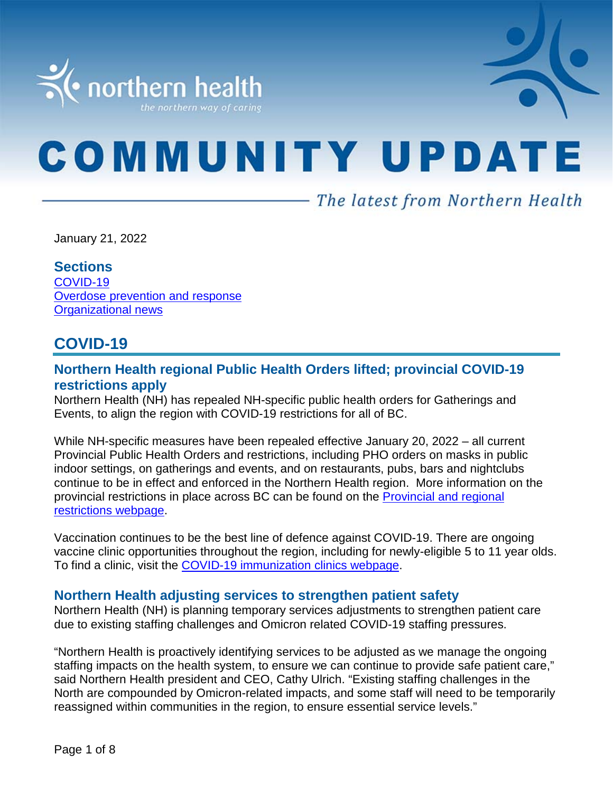

# **COMMUNITY UPDATE**

- The latest from Northern Health

January 21, 2022

#### **Sections**

[COVID-19](#page-0-0) [Overdose prevention and response](#page-5-0) Organizational news

# <span id="page-0-0"></span>**COVID-19**

## **Northern Health regional Public Health Orders lifted; provincial COVID-19 restrictions apply**

Northern Health (NH) has repealed NH-specific public health orders for Gatherings and Events, to align the region with COVID-19 restrictions for all of BC.

While NH-specific measures have been repealed effective January 20, 2022 – all current Provincial Public Health Orders and restrictions, including PHO orders on masks in public indoor settings, on gatherings and events, and on restaurants, pubs, bars and nightclubs continue to be in effect and enforced in the Northern Health region. More information on the provincial restrictions in place across BC can be found on the [Provincial and regional](https://www2.gov.bc.ca/gov/content/covid-19/info/restrictions)  [restrictions webpage.](https://www2.gov.bc.ca/gov/content/covid-19/info/restrictions)

Vaccination continues to be the best line of defence against COVID-19. There are ongoing vaccine clinic opportunities throughout the region, including for newly-eligible 5 to 11 year olds. To find a clinic, visit the [COVID-19 immunization clinics webpage.](https://www.northernhealth.ca/health-topics/covid-19-immunization-clinics)

#### **Northern Health adjusting services to strengthen patient safety**

Northern Health (NH) is planning temporary services adjustments to strengthen patient care due to existing staffing challenges and Omicron related COVID-19 staffing pressures.

"Northern Health is proactively identifying services to be adjusted as we manage the ongoing staffing impacts on the health system, to ensure we can continue to provide safe patient care," said Northern Health president and CEO, Cathy Ulrich. "Existing staffing challenges in the North are compounded by Omicron-related impacts, and some staff will need to be temporarily reassigned within communities in the region, to ensure essential service levels."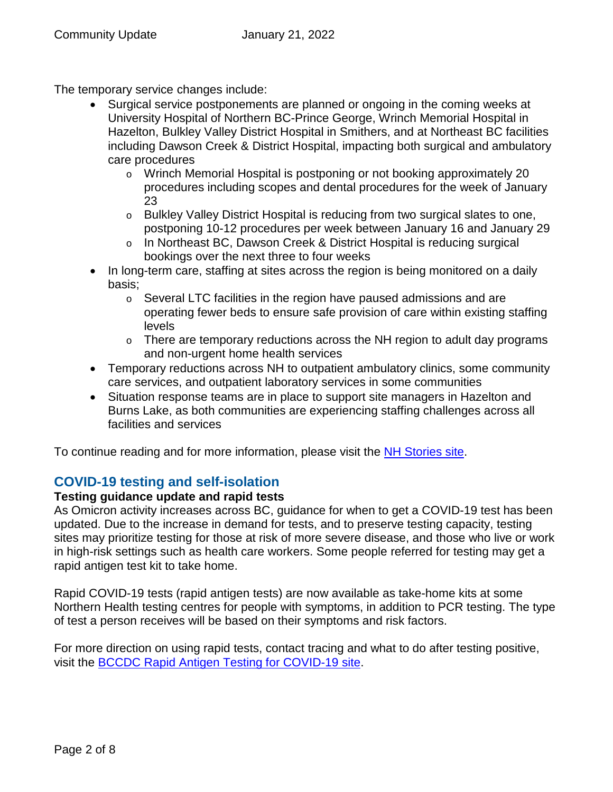The temporary service changes include:

- Surgical service postponements are planned or ongoing in the coming weeks at University Hospital of Northern BC-Prince George, Wrinch Memorial Hospital in Hazelton, Bulkley Valley District Hospital in Smithers, and at Northeast BC facilities including Dawson Creek & District Hospital, impacting both surgical and ambulatory care procedures
	- o Wrinch Memorial Hospital is postponing or not booking approximately 20 procedures including scopes and dental procedures for the week of January 23
	- o Bulkley Valley District Hospital is reducing from two surgical slates to one, postponing 10-12 procedures per week between January 16 and January 29
	- o In Northeast BC, Dawson Creek & District Hospital is reducing surgical bookings over the next three to four weeks
- In long-term care, staffing at sites across the region is being monitored on a daily basis;
	- $\circ$  Several LTC facilities in the region have paused admissions and are operating fewer beds to ensure safe provision of care within existing staffing levels
	- $\circ$  There are temporary reductions across the NH region to adult day programs and non-urgent home health services
- Temporary reductions across NH to outpatient ambulatory clinics, some community care services, and outpatient laboratory services in some communities
- Situation response teams are in place to support site managers in Hazelton and Burns Lake, as both communities are experiencing staffing challenges across all facilities and services

To continue reading and for more information, please visit the [NH Stories site.](https://stories.northernhealth.ca/news/northern-health-adjusting-services-strengthen-patient-safety)

## **COVID-19 testing and self-isolation**

### **Testing guidance update and rapid tests**

As Omicron activity increases across BC, guidance for when to get a COVID-19 test has been updated. Due to the increase in demand for tests, and to preserve testing capacity, testing sites may prioritize testing for those at risk of more severe disease, and those who live or work in high-risk settings such as health care workers. Some people referred for testing may get a rapid antigen test kit to take home.

Rapid COVID-19 tests (rapid antigen tests) are now available as take-home kits at some Northern Health testing centres for people with symptoms, in addition to PCR testing. The type of test a person receives will be based on their symptoms and risk factors.

For more direction on using rapid tests, contact tracing and what to do after testing positive, visit the [BCCDC Rapid Antigen Testing for COVID-19](http://www.bccdc.ca/health-info/diseases-conditions/covid-19/testing/rapid-antigen-testing) site.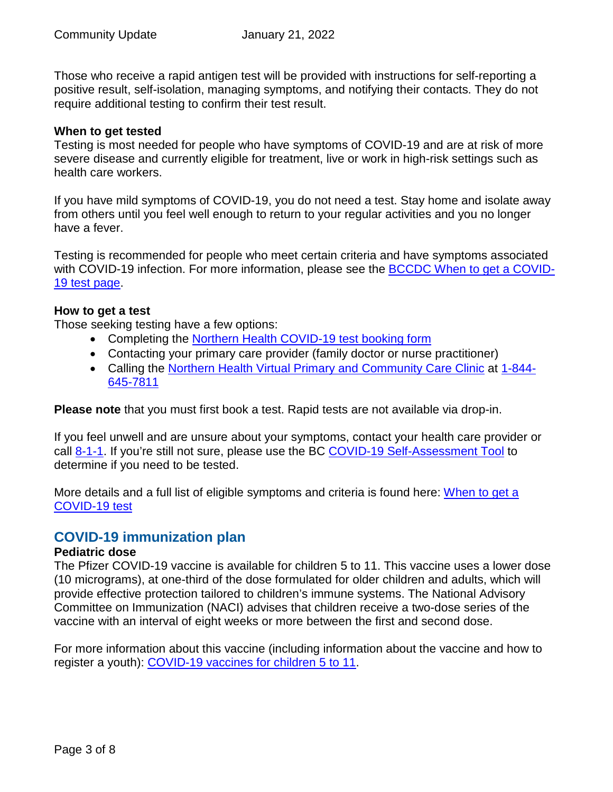Those who receive a rapid antigen test will be provided with instructions for self-reporting a positive result, self-isolation, managing symptoms, and notifying their contacts. They do not require additional testing to confirm their test result.

#### **When to get tested**

Testing is most needed for people who have symptoms of COVID-19 and are at risk of more severe disease and currently eligible for treatment, live or work in high-risk settings such as health care workers.

If you have mild symptoms of COVID-19, you do not need a test. Stay home and isolate away from others until you feel well enough to return to your regular activities and you no longer have a fever.

Testing is recommended for people who meet certain criteria and have symptoms associated with COVID-19 infection. For more information, please see the [BCCDC When to get a COVID-](http://www.bccdc.ca/health-info/diseases-conditions/covid-19/testing/when-to-get-a-covid-19-test)[19 test page.](http://www.bccdc.ca/health-info/diseases-conditions/covid-19/testing/when-to-get-a-covid-19-test)

#### **How to get a test**

Those seeking testing have a few options:

- Completing the [Northern Health COVID-19 test booking form](https://northernhealthcovid.secureform.ca/index.php)
- Contacting your primary care provider (family doctor or nurse practitioner)
- Calling the [Northern Health Virtual Primary and Community Care Clinic](http://www.northernhealth.ca/locations/medical-clinics/virtual-clinic) at [1-844-](tel:1-844-645-7811) [645-7811](tel:1-844-645-7811)

**Please note** that you must first book a test. Rapid tests are not available via drop-in.

If you feel unwell and are unsure about your symptoms, contact your health care provider or call [8-1-1.](tel:%20811) If you're still not sure, please use the BC [COVID-19 Self-Assessment Tool](https://bc.thrive.health/) to determine if you need to be tested.

More details and a full list of eligible symptoms and criteria is found here: When to get a [COVID-19 test](http://www.bccdc.ca/health-info/diseases-conditions/covid-19/testing/when-to-get-a-covid-19-test)

### **COVID-19 immunization plan**

#### **Pediatric dose**

The Pfizer COVID-19 vaccine is available for children 5 to 11. This vaccine uses a lower dose (10 micrograms), at one-third of the dose formulated for older children and adults, which will provide effective protection tailored to children's immune systems. The National Advisory Committee on Immunization (NACI) advises that children receive a two-dose series of the vaccine with an interval of eight weeks or more between the first and second dose.

For more information about this vaccine (including information about the vaccine and how to register a youth): [COVID-19 vaccines for children 5 to 11.](https://www2.gov.bc.ca/gov/content/covid-19/vaccine/children)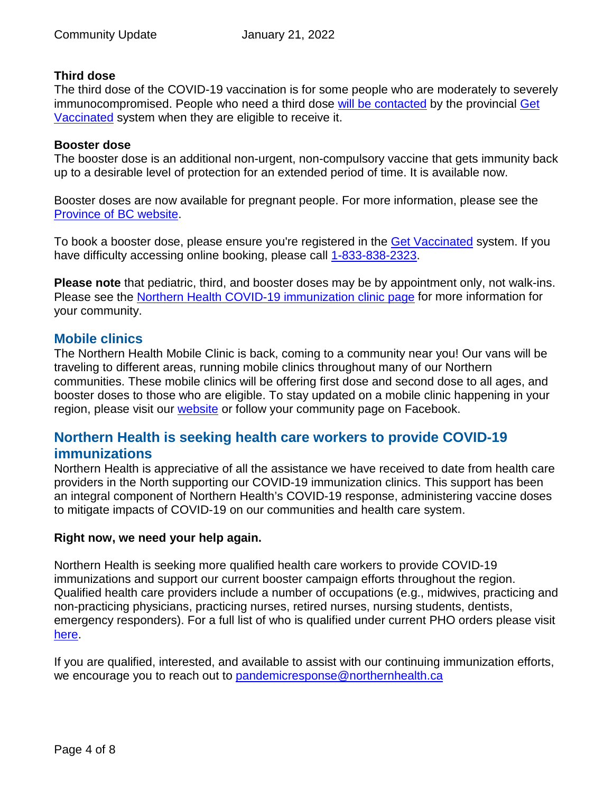#### **Third dose**

The third dose of the COVID-19 vaccination is for some people who are moderately to severely immunocompromised. People who need a third dose [will be contacted](https://www2.gov.bc.ca/gov/content/covid-19/vaccine/register#immunocompromised) by the provincial [Get](https://www.getvaccinated.gov.bc.ca/s/)  [Vaccinated](https://www.getvaccinated.gov.bc.ca/s/) system when they are eligible to receive it.

#### **Booster dose**

The booster dose is an additional non-urgent, non-compulsory vaccine that gets immunity back up to a desirable level of protection for an extended period of time. It is available now.

Booster doses are now available for pregnant people. For more information, please see the [Province of BC website.](https://news.gov.bc.ca/releases/2022HLTH0013-000049)

To book a booster dose, please ensure you're registered in the [Get Vaccinated](https://www.getvaccinated.gov.bc.ca/s/) system. If you have difficulty accessing online booking, please call [1-833-838-2323.](tel:%201-833-838-2323)

**Please note** that pediatric, third, and booster doses may be by appointment only, not walk-ins. Please see the [Northern Health COVID-19 immunization clinic page](https://www.northernhealth.ca/health-topics/covid-19-immunization-clinics) for more information for your community.

#### **Mobile clinics**

The Northern Health Mobile Clinic is back, coming to a community near you! Our vans will be traveling to different areas, running mobile clinics throughout many of our Northern communities. These mobile clinics will be offering first dose and second dose to all ages, and booster doses to those who are eligible. To stay updated on a mobile clinic happening in your region, please visit our [website](https://www.northernhealth.ca/health-topics/covid-19-immunization-clinics) or follow your community page on Facebook.

## **Northern Health is seeking health care workers to provide COVID-19 immunizations**

Northern Health is appreciative of all the assistance we have received to date from health care providers in the North supporting our COVID-19 immunization clinics. This support has been an integral component of Northern Health's COVID-19 response, administering vaccine doses to mitigate impacts of COVID-19 on our communities and health care system.

#### **Right now, we need your help again.**

Northern Health is seeking more qualified health care workers to provide COVID-19 immunizations and support our current booster campaign efforts throughout the region. Qualified health care providers include a number of occupations (e.g., midwives, practicing and non-practicing physicians, practicing nurses, retired nurses, nursing students, dentists, emergency responders). For a full list of who is qualified under current PHO orders please visit [here.](https://www2.gov.bc.ca/assets/gov/health/about-bc-s-health-care-system/office-of-the-provincial-health-officer/covid-19/covid-19-pho-order-ruhp-immunization.pdf)

If you are qualified, interested, and available to assist with our continuing immunization efforts, we encourage you to reach out to pandemicresponse@northernhealth.ca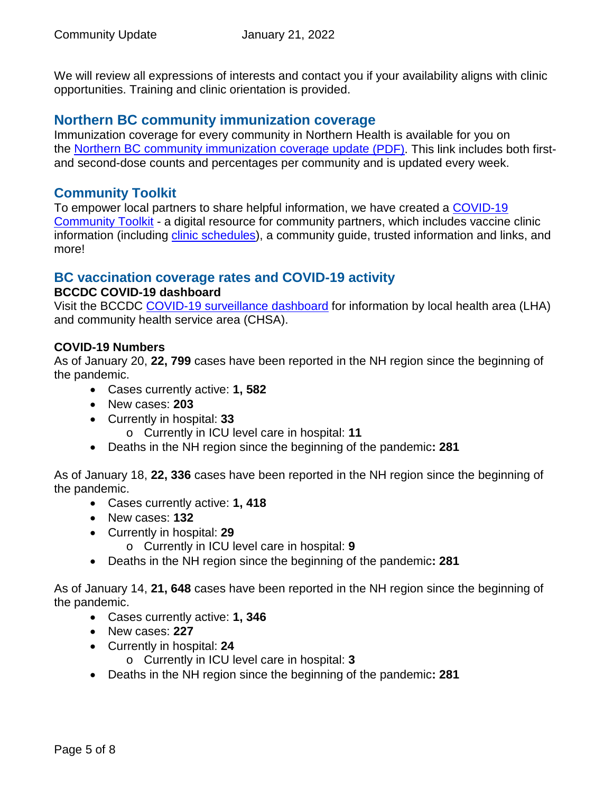We will review all expressions of interests and contact you if your availability aligns with clinic opportunities. Training and clinic orientation is provided.

## **Northern BC community immunization coverage**

Immunization coverage for every community in Northern Health is available for you on the [Northern BC community immunization coverage update](https://www.northernhealth.ca/sites/northern_health/files/health-information/health-topics/vaccine/documents/northern-bc-immunization-coverage.pdf) (PDF). This link includes both firstand second-dose counts and percentages per community and is updated every week.

## **Community Toolkit**

To empower local partners to share helpful information, we have created a [COVID-19](https://www.northernhealth.ca/health-topics/covid-19-vaccine-plan/covid-19-community-toolkit)  [Community Toolkit](https://www.northernhealth.ca/health-topics/covid-19-vaccine-plan/covid-19-community-toolkit) - a digital resource for community partners, which includes vaccine clinic information (including [clinic schedules\)](https://www.northernhealth.ca/health-topics/covid-19-immunization-clinics), a community guide, trusted information and links, and more!

## **BC vaccination coverage rates and COVID-19 activity**

#### **BCCDC COVID-19 dashboard**

Visit the BCCDC [COVID-19 surveillance dashboard](https://public.tableau.com/app/profile/bccdc/viz/BCCDCCOVID-19SurveillanceDashboard/Introduction) for information by local health area (LHA) and community health service area (CHSA).

#### **COVID-19 Numbers**

As of January 20, **22, 799** cases have been reported in the NH region since the beginning of the pandemic.

- Cases currently active: **1, 582**
- New cases: **203**
- Currently in hospital: **33**
	- o Currently in ICU level care in hospital: **11**
- Deaths in the NH region since the beginning of the pandemic**: 281**

As of January 18, **22, 336** cases have been reported in the NH region since the beginning of the pandemic.

- Cases currently active: **1, 418**
- New cases: **132**
- Currently in hospital: **29**
	- o Currently in ICU level care in hospital: **9**
- Deaths in the NH region since the beginning of the pandemic**: 281**

As of January 14, **21, 648** cases have been reported in the NH region since the beginning of the pandemic.

- Cases currently active: **1, 346**
- New cases: **227**
- Currently in hospital: **24**
	- o Currently in ICU level care in hospital: **3**
- Deaths in the NH region since the beginning of the pandemic**: 281**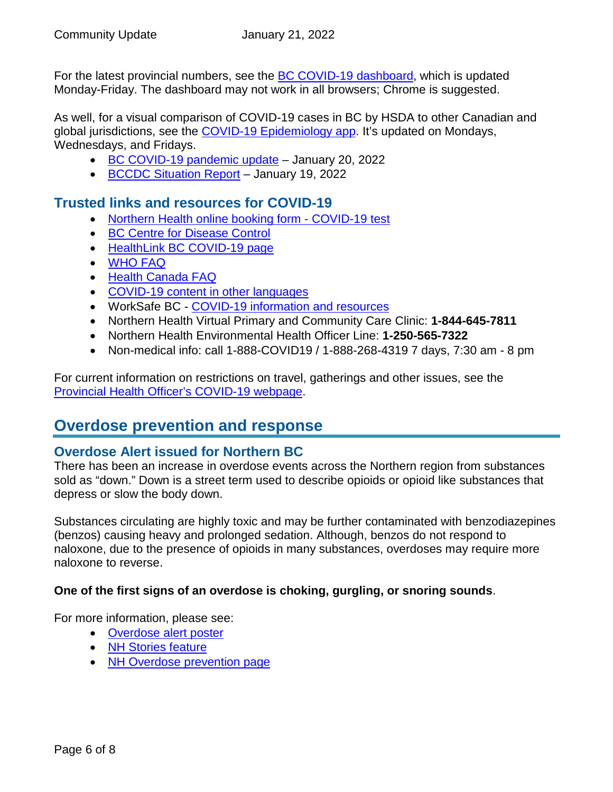For the latest provincial numbers, see the **BC COVID-19 dashboard**, which is updated Monday-Friday. The dashboard may not work in all browsers; Chrome is suggested.

As well, for a visual comparison of COVID-19 cases in BC by HSDA to other Canadian and global jurisdictions, see the [COVID-19 Epidemiology app.](https://bccdc.shinyapps.io/covid19_global_epi_app/) It's updated on Mondays, Wednesdays, and Fridays.

- [BC COVID-19 pandemic update](https://news.gov.bc.ca/releases/2022HLTH0002-000090) January 20, 2022
- [BCCDC Situation Report](http://www.bccdc.ca/Health-Info-Site/Documents/COVID_sitrep/Week_1_2022_BC_COVID-19_Situation_Report.pdf) January 19, 2022

## **Trusted links and resources for COVID-19**

- [Northern Health online booking form -](https://northernhealthcovid.secureform.ca/index.php) COVID-19 test
- [BC Centre for Disease Control](http://www.bccdc.ca/health-professionals/clinical-resources/covid-19-care)
- [HealthLink BC COVID-19 page](https://www.healthlinkbc.ca/health-feature/coronavirus-disease-covid-19)
- [WHO FAQ](https://www.who.int/news-room/q-a-detail/q-a-coronaviruses)
- [Health Canada FAQ](https://www.canada.ca/en/public-health/services/diseases/2019-novel-coronavirus-infection/canadas-reponse.html)
- [COVID-19 content in other languages](http://www.bccdc.ca/health-info/diseases-conditions/covid-19/about-covid-19/translated-content)
- WorkSafe BC [COVID-19 information and resources](https://www.worksafebc.com/en/covid-19)
- Northern Health Virtual Primary and Community Care Clinic: **1-844-645-7811**
- Northern Health Environmental Health Officer Line: **1-250-565-7322**
- <span id="page-5-0"></span>• Non-medical info: call 1-888-COVID19 / 1-888-268-4319 7 days, 7:30 am - 8 pm

For current information on restrictions on travel, gatherings and other issues, see the [Provincial Health Officer's COVID-19 webpage.](https://www2.gov.bc.ca/gov/content/health/about-bc-s-health-care-system/office-of-the-provincial-health-officer/current-health-topics/covid-19-novel-coronavirus)

## **Overdose prevention and response**

### **Overdose Alert issued for Northern BC**

There has been an increase in overdose events across the Northern region from substances sold as "down." Down is a street term used to describe opioids or opioid like substances that depress or slow the body down.

Substances circulating are highly toxic and may be further contaminated with benzodiazepines (benzos) causing heavy and prolonged sedation. Although, benzos do not respond to naloxone, due to the presence of opioids in many substances, overdoses may require more naloxone to reverse.

#### **One of the first signs of an overdose is choking, gurgling, or snoring sounds**.

For more information, please see:

- [Overdose alert poster](https://www.northernhealth.ca/sites/northern_health/files/health-information/health-topics/overdose-prevention/documents/drug-alert-northern-bc-poster.pdf)
- [NH Stories feature](https://stories.northernhealth.ca/news/overdose-alert-northern-bc)
- [NH Overdose prevention page](https://www.northernhealth.ca/health-topics/overdose-prevention#overdose-prevention-services-ops)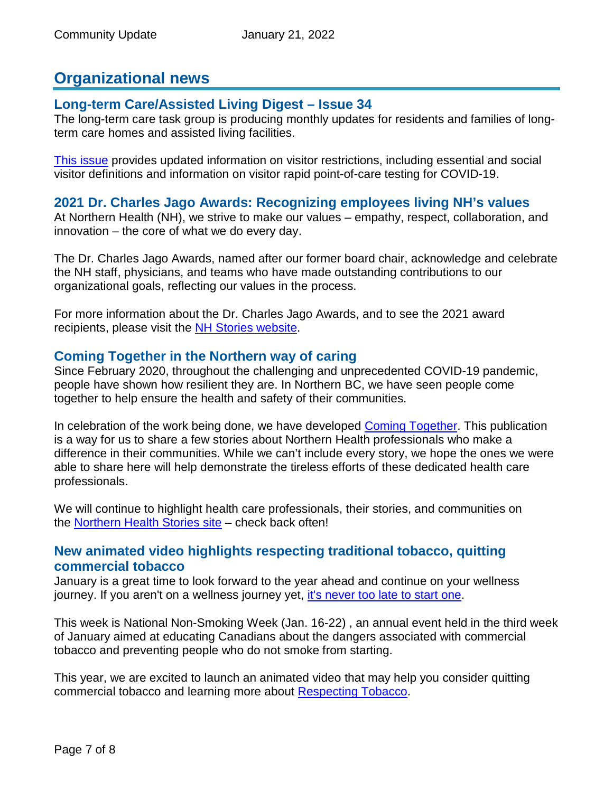# **Organizational news**

## **Long-term Care/Assisted Living Digest – Issue 34**

The long-term care task group is producing monthly updates for residents and families of longterm care homes and assisted living facilities.

[This issue](https://www.northernhealth.ca/sites/northern_health/files/services/home-community-care/documents/long-term-care-assisted-living-digest-34.pdf) provides updated information on visitor restrictions, including essential and social visitor definitions and information on visitor rapid point-of-care testing for COVID-19.

## **2021 Dr. Charles Jago Awards: Recognizing employees living NH's values**

At Northern Health (NH), we strive to make our values – empathy, respect, collaboration, and innovation – the core of what we do every day.

The Dr. Charles Jago Awards, named after our former board chair, acknowledge and celebrate the NH staff, physicians, and teams who have made outstanding contributions to our organizational goals, reflecting our values in the process.

For more information about the Dr. Charles Jago Awards, and to see the 2021 award recipients, please visit the NH [Stories website.](https://stories.northernhealth.ca/stories/2021-dr-charles-jago-awards-recognizing-employees-living-nhs-values)

## **Coming Together in the Northern way of caring**

Since February 2020, throughout the challenging and unprecedented COVID-19 pandemic, people have shown how resilient they are. In Northern BC, we have seen people come together to help ensure the health and safety of their communities.

In celebration of the work being done, we have developed [Coming Together.](https://issuu.com/northern-health/docs/nh-coming-together-rpt-web) This publication is a way for us to share a few stories about Northern Health professionals who make a difference in their communities. While we can't include every story, we hope the ones we were able to share here will help demonstrate the tireless efforts of these dedicated health care professionals.

We will continue to highlight health care professionals, their stories, and communities on the [Northern Health Stories site](https://stories.northernhealth.ca/stories/stories.northernhealth.ca) - check back often!

## **New animated video highlights respecting traditional tobacco, quitting commercial tobacco**

January is a great time to look forward to the year ahead and continue on your wellness journey. If you aren't on a wellness journey yet, [it's never too late to start one.](https://www.fnha.ca/WellnessSite/WellnessDocuments/FNHA_Wellness_Map.pdf)

This week is National Non-Smoking Week (Jan. 16-22) , an annual event held in the third week of January aimed at educating Canadians about the dangers associated with commercial tobacco and preventing people who do not smoke from starting.

This year, we are excited to launch an animated video that may help you consider quitting commercial tobacco and learning more about [Respecting Tobacco.](http://www.fnha.ca/respectingtobacco)